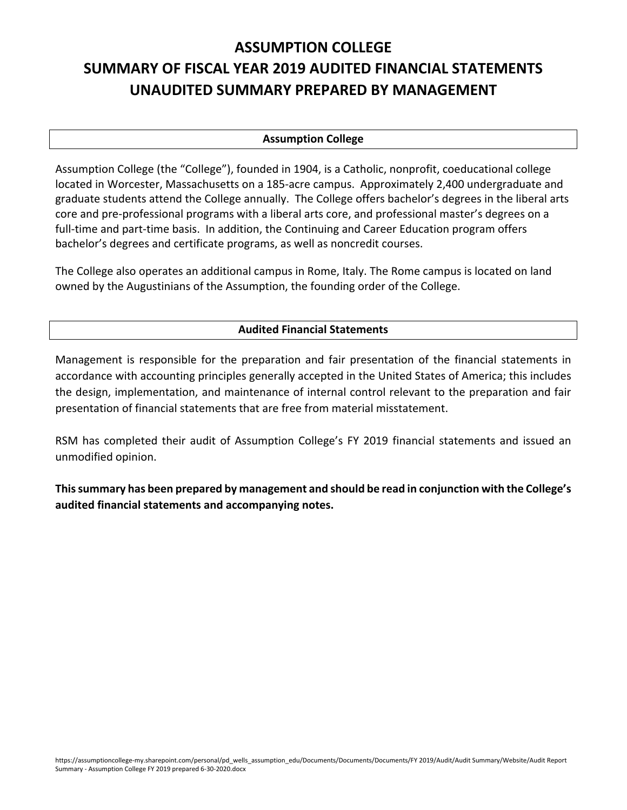# **ASSUMPTION COLLEGE SUMMARY OF FISCAL YEAR 2019 AUDITED FINANCIAL STATEMENTS UNAUDITED SUMMARY PREPARED BY MANAGEMENT**

#### **Assumption College**

Assumption College (the "College"), founded in 1904, is a Catholic, nonprofit, coeducational college located in Worcester, Massachusetts on a 185‐acre campus. Approximately 2,400 undergraduate and graduate students attend the College annually. The College offers bachelor's degrees in the liberal arts core and pre‐professional programs with a liberal arts core, and professional master's degrees on a full-time and part-time basis. In addition, the Continuing and Career Education program offers bachelor's degrees and certificate programs, as well as noncredit courses.

The College also operates an additional campus in Rome, Italy. The Rome campus is located on land owned by the Augustinians of the Assumption, the founding order of the College.

### **Audited Financial Statements**

Management is responsible for the preparation and fair presentation of the financial statements in accordance with accounting principles generally accepted in the United States of America; this includes the design, implementation, and maintenance of internal control relevant to the preparation and fair presentation of financial statements that are free from material misstatement.

RSM has completed their audit of Assumption College's FY 2019 financial statements and issued an unmodified opinion.

**Thissummary has been prepared by management and should be read in conjunction with the College's audited financial statements and accompanying notes.**